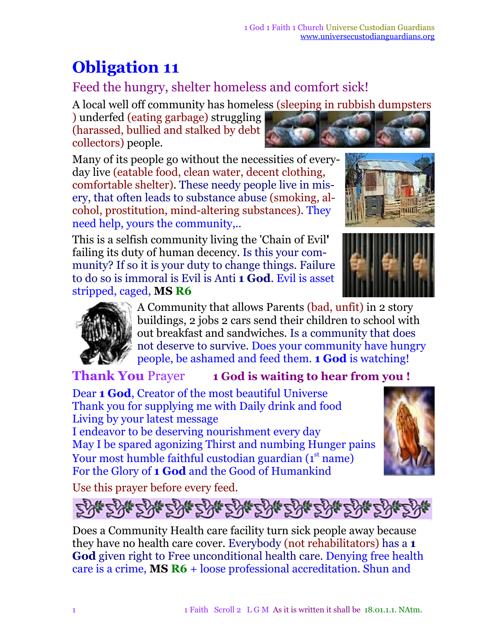## **Obligation 11**

## Feed the hungry, shelter homeless and comfort sick!

A local well off community has homeless (sleeping in rubbish dumpsters

) underfed (eating garbage) struggling (harassed, bullied and stalked by debt collectors) people.

Many of its people go without the necessities of everyday live (eatable food, clean water, decent clothing, comfortable shelter). These needy people live in misery, that often leads to substance abuse (smoking, alcohol, prostitution, mind-altering substances). They need help, yours the community,..

This is a selfish community living the 'Chain of Evil**'** failing its duty of human decency. Is this your community? If so it is your duty to change things. Failure to do so is immoral is Evil is Anti **1 God**. Evil is asset stripped, caged, **MS R6**







A Community that allows Parents (bad, unfit) in 2 story buildings, 2 jobs 2 cars send their children to school with out breakfast and sandwiches. Is a community that does not deserve to survive. Does your community have hungry people, be ashamed and feed them. **1 God** is watching!

## **Thank You** Prayer **1 God is waiting to hear from you !**

Dear **1 God**, Creator of the most beautiful Universe Thank you for supplying me with Daily drink and food Living by your latest message

I endeavor to be deserving nourishment every day May I be spared agonizing Thirst and numbing Hunger pains Your most humble faithful custodian guardian (1st name) For the Glory of **1 God** and the Good of Humankind



Use this prayer before every feed.



Does a Community Health care facility turn sick people away because they have no health care cover. Everybody (not rehabilitators) has a **1 God** given right to Free unconditional health care. Denying free health care is a crime, **MS R6** + loose professional accreditation. Shun and